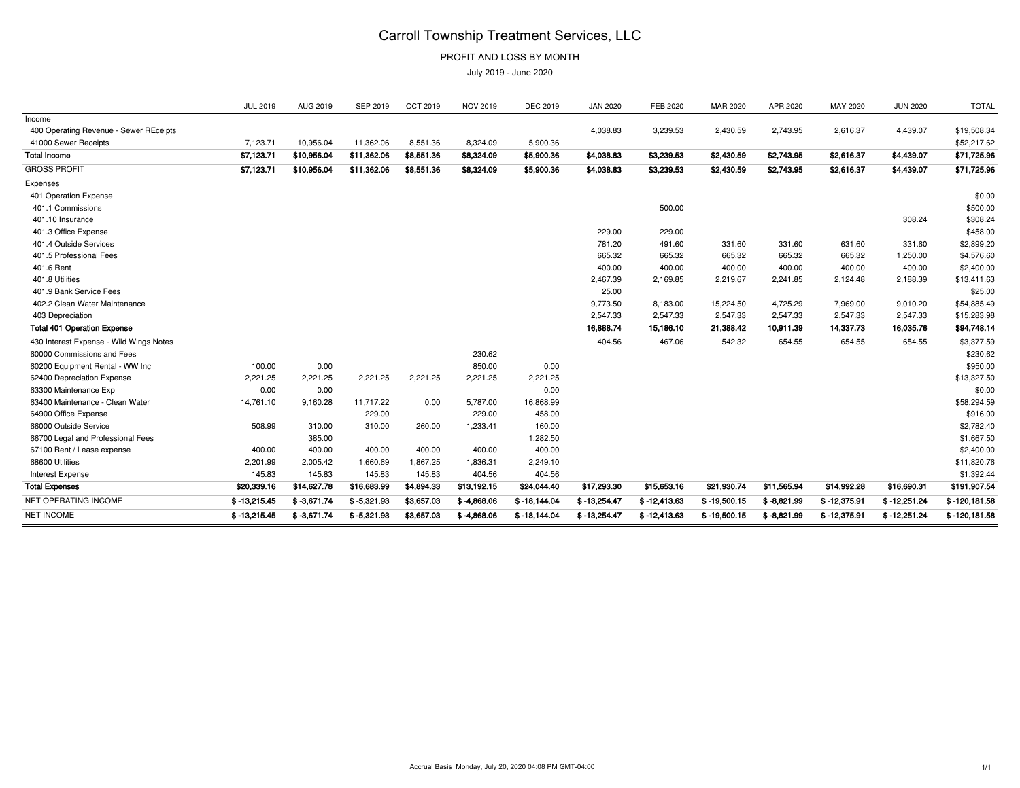## Carroll Township Treatment Services, LLC

PROFIT AND LOSS BY MONTH

July 2019 - June 2020

|                                         | <b>JUL 2019</b> | AUG 2019      | SEP 2019      | OCT 2019   | <b>NOV 2019</b> | <b>DEC 2019</b> | <b>JAN 2020</b> | FEB 2020      | MAR 2020       | APR 2020      | MAY 2020       | <b>JUN 2020</b> | <b>TOTAL</b>     |
|-----------------------------------------|-----------------|---------------|---------------|------------|-----------------|-----------------|-----------------|---------------|----------------|---------------|----------------|-----------------|------------------|
| Income                                  |                 |               |               |            |                 |                 |                 |               |                |               |                |                 |                  |
| 400 Operating Revenue - Sewer REceipts  |                 |               |               |            |                 |                 | 4,038.83        | 3,239.53      | 2,430.59       | 2,743.95      | 2,616.37       | 4,439.07        | \$19,508.34      |
| 41000 Sewer Receipts                    | 7,123.71        | 10,956.04     | 11,362.06     | 8,551.36   | 8,324.09        | 5,900.36        |                 |               |                |               |                |                 | \$52,217.62      |
| <b>Total Income</b>                     | \$7,123.71      | \$10,956.04   | \$11,362.06   | \$8,551.36 | \$8,324.09      | \$5,900.36      | \$4,038.83      | \$3,239.53    | \$2,430.59     | \$2,743.95    | \$2,616.37     | \$4,439.07      | \$71,725.96      |
| <b>GROSS PROFIT</b>                     | \$7,123.71      | \$10,956.04   | \$11,362.06   | \$8,551.36 | \$8,324.09      | \$5,900.36      | \$4,038.83      | \$3,239.53    | \$2,430.59     | \$2,743.95    | \$2,616.37     | \$4,439.07      | \$71,725.96      |
| Expenses                                |                 |               |               |            |                 |                 |                 |               |                |               |                |                 |                  |
| 401 Operation Expense                   |                 |               |               |            |                 |                 |                 |               |                |               |                |                 | \$0.00           |
| 401.1 Commissions                       |                 |               |               |            |                 |                 |                 | 500.00        |                |               |                |                 | \$500.00         |
| 401.10 Insurance                        |                 |               |               |            |                 |                 |                 |               |                |               |                | 308.24          | \$308.24         |
| 401.3 Office Expense                    |                 |               |               |            |                 |                 | 229.00          | 229.00        |                |               |                |                 | \$458.00         |
| 401.4 Outside Services                  |                 |               |               |            |                 |                 | 781.20          | 491.60        | 331.60         | 331.60        | 631.60         | 331.60          | \$2,899.20       |
| 401.5 Professional Fees                 |                 |               |               |            |                 |                 | 665.32          | 665.32        | 665.32         | 665.32        | 665.32         | 1,250.00        | \$4,576.60       |
| 401.6 Rent                              |                 |               |               |            |                 |                 | 400.00          | 400.00        | 400.00         | 400.00        | 400.00         | 400.00          | \$2,400.00       |
| 401.8 Utilities                         |                 |               |               |            |                 |                 | 2,467.39        | 2,169.85      | 2,219.67       | 2,241.85      | 2,124.48       | 2,188.39        | \$13,411.63      |
| 401.9 Bank Service Fees                 |                 |               |               |            |                 |                 | 25.00           |               |                |               |                |                 | \$25.00          |
| 402.2 Clean Water Maintenance           |                 |               |               |            |                 |                 | 9,773.50        | 8,183.00      | 15,224.50      | 4,725.29      | 7,969.00       | 9,010.20        | \$54,885.49      |
| 403 Depreciation                        |                 |               |               |            |                 |                 | 2,547.33        | 2,547.33      | 2,547.33       | 2,547.33      | 2,547.33       | 2,547.33        | \$15,283.98      |
| <b>Total 401 Operation Expense</b>      |                 |               |               |            |                 |                 | 16,888.74       | 15,186.10     | 21,388.42      | 10,911.39     | 14,337.73      | 16,035.76       | \$94,748.14      |
| 430 Interest Expense - Wild Wings Notes |                 |               |               |            |                 |                 | 404.56          | 467.06        | 542.32         | 654.55        | 654.55         | 654.55          | \$3,377.59       |
| 60000 Commissions and Fees              |                 |               |               |            | 230.62          |                 |                 |               |                |               |                |                 | \$230.62         |
| 60200 Equipment Rental - WW Inc         | 100.00          | 0.00          |               |            | 850.00          | 0.00            |                 |               |                |               |                |                 | \$950.00         |
| 62400 Depreciation Expense              | 2,221.25        | 2,221.25      | 2,221.25      | 2,221.25   | 2,221.25        | 2,221.25        |                 |               |                |               |                |                 | \$13,327.50      |
| 63300 Maintenance Exp                   | 0.00            | 0.00          |               |            |                 | 0.00            |                 |               |                |               |                |                 | \$0.00           |
| 63400 Maintenance - Clean Water         | 14,761.10       | 9,160.28      | 11,717.22     | 0.00       | 5,787.00        | 16,868.99       |                 |               |                |               |                |                 | \$58,294.59      |
| 64900 Office Expense                    |                 |               | 229.00        |            | 229.00          | 458.00          |                 |               |                |               |                |                 | \$916.00         |
| 66000 Outside Service                   | 508.99          | 310.00        | 310.00        | 260.00     | 1,233.41        | 160.00          |                 |               |                |               |                |                 | \$2,782.40       |
| 66700 Legal and Professional Fees       |                 | 385.00        |               |            |                 | 1,282.50        |                 |               |                |               |                |                 | \$1,667.50       |
| 67100 Rent / Lease expense              | 400.00          | 400.00        | 400.00        | 400.00     | 400.00          | 400.00          |                 |               |                |               |                |                 | \$2,400.00       |
| 68600 Utilities                         | 2,201.99        | 2,005.42      | 1,660.69      | 1,867.25   | 1,836.31        | 2,249.10        |                 |               |                |               |                |                 | \$11,820.76      |
| Interest Expense                        | 145.83          | 145.83        | 145.83        | 145.83     | 404.56          | 404.56          |                 |               |                |               |                |                 | \$1,392.44       |
| <b>Total Expenses</b>                   | \$20,339.16     | \$14,627.78   | \$16,683.99   | \$4,894.33 | \$13,192.15     | \$24,044.40     | \$17,293.30     | \$15,653.16   | \$21,930.74    | \$11,565.94   | \$14,992.28    | \$16,690.31     | \$191,907.54     |
| NET OPERATING INCOME                    | $$ -13,215.45$  | $$ -3,671.74$ | $$ -5,321.93$ | \$3,657.03 | $$ -4,868.06$   | $$-18,144.04$   | $$ -13,254.47$  | $$-12,413.63$ | $$-19,500.15$  | $$ -8,821.99$ | $$ -12,375.91$ | $$ -12,251.24$  | $$ -120, 181.58$ |
| <b>NET INCOME</b>                       | $$ -13,215.45$  | $$ -3,671.74$ | $$ -5,321.93$ | \$3,657.03 | $$ -4,868.06$   | $$ -18,144.04$  | $$ -13,254.47$  | $$-12,413.63$ | $$ -19,500.15$ | $$ -8,821.99$ | $$ -12,375.91$ | $$ -12,251.24$  | $$ -120, 181.58$ |
|                                         |                 |               |               |            |                 |                 |                 |               |                |               |                |                 |                  |